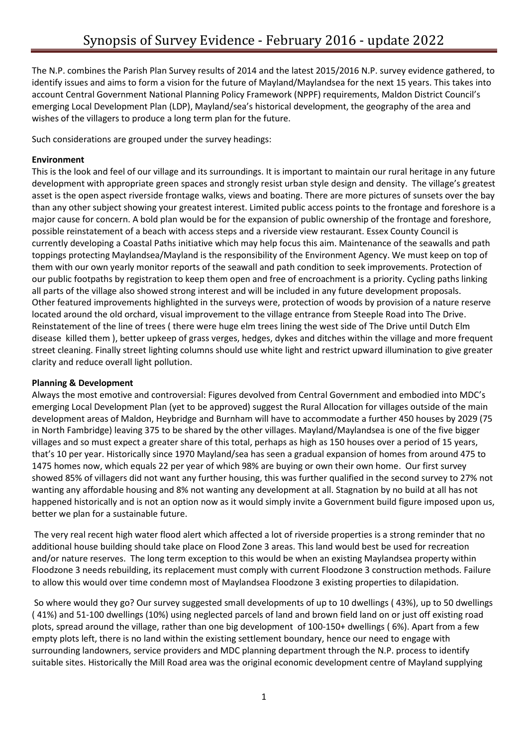The N.P. combines the Parish Plan Survey results of 2014 and the latest 2015/2016 N.P. survey evidence gathered, to identify issues and aims to form a vision for the future of Mayland/Maylandsea for the next 15 years. This takes into account Central Government National Planning Policy Framework (NPPF) requirements, Maldon District Council's emerging Local Development Plan (LDP), Mayland/sea's historical development, the geography of the area and wishes of the villagers to produce a long term plan for the future.

Such considerations are grouped under the survey headings:

#### **Environment**

This is the look and feel of our village and its surroundings. It is important to maintain our rural heritage in any future development with appropriate green spaces and strongly resist urban style design and density. The village's greatest asset is the open aspect riverside frontage walks, views and boating. There are more pictures of sunsets over the bay than any other subject showing your greatest interest. Limited public access points to the frontage and foreshore is a major cause for concern. A bold plan would be for the expansion of public ownership of the frontage and foreshore, possible reinstatement of a beach with access steps and a riverside view restaurant. Essex County Council is currently developing a Coastal Paths initiative which may help focus this aim. Maintenance of the seawalls and path toppings protecting Maylandsea/Mayland is the responsibility of the Environment Agency. We must keep on top of them with our own yearly monitor reports of the seawall and path condition to seek improvements. Protection of our public footpaths by registration to keep them open and free of encroachment is a priority. Cycling paths linking all parts of the village also showed strong interest and will be included in any future development proposals. Other featured improvements highlighted in the surveys were, protection of woods by provision of a nature reserve located around the old orchard, visual improvement to the village entrance from Steeple Road into The Drive. Reinstatement of the line of trees ( there were huge elm trees lining the west side of The Drive until Dutch Elm disease killed them ), better upkeep of grass verges, hedges, dykes and ditches within the village and more frequent street cleaning. Finally street lighting columns should use white light and restrict upward illumination to give greater clarity and reduce overall light pollution.

## **Planning & Development**

Always the most emotive and controversial: Figures devolved from Central Government and embodied into MDC's emerging Local Development Plan (yet to be approved) suggest the Rural Allocation for villages outside of the main development areas of Maldon, Heybridge and Burnham will have to accommodate a further 450 houses by 2029 (75 in North Fambridge) leaving 375 to be shared by the other villages. Mayland/Maylandsea is one of the five bigger villages and so must expect a greater share of this total, perhaps as high as 150 houses over a period of 15 years, that's 10 per year. Historically since 1970 Mayland/sea has seen a gradual expansion of homes from around 475 to 1475 homes now, which equals 22 per year of which 98% are buying or own their own home. Our first survey showed 85% of villagers did not want any further housing, this was further qualified in the second survey to 27% not wanting any affordable housing and 8% not wanting any development at all. Stagnation by no build at all has not happened historically and is not an option now as it would simply invite a Government build figure imposed upon us, better we plan for a sustainable future.

The very real recent high water flood alert which affected a lot of riverside properties is a strong reminder that no additional house building should take place on Flood Zone 3 areas. This land would best be used for recreation and/or nature reserves. The long term exception to this would be when an existing Maylandsea property within Floodzone 3 needs rebuilding, its replacement must comply with current Floodzone 3 construction methods. Failure to allow this would over time condemn most of Maylandsea Floodzone 3 existing properties to dilapidation.

So where would they go? Our survey suggested small developments of up to 10 dwellings ( 43%), up to 50 dwellings ( 41%) and 51-100 dwellings (10%) using neglected parcels of land and brown field land on or just off existing road plots, spread around the village, rather than one big development of 100-150+ dwellings ( 6%). Apart from a few empty plots left, there is no land within the existing settlement boundary, hence our need to engage with surrounding landowners, service providers and MDC planning department through the N.P. process to identify suitable sites. Historically the Mill Road area was the original economic development centre of Mayland supplying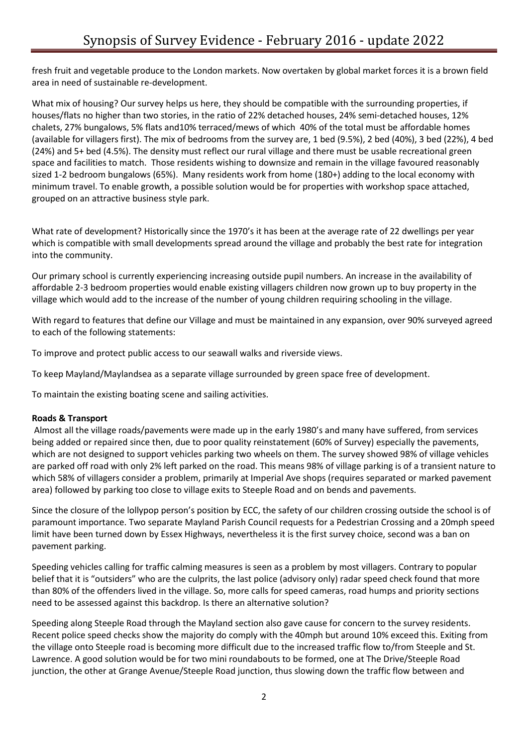fresh fruit and vegetable produce to the London markets. Now overtaken by global market forces it is a brown field area in need of sustainable re-development.

What mix of housing? Our survey helps us here, they should be compatible with the surrounding properties, if houses/flats no higher than two stories, in the ratio of 22% detached houses, 24% semi-detached houses, 12% chalets, 27% bungalows, 5% flats and10% terraced/mews of which 40% of the total must be affordable homes (available for villagers first). The mix of bedrooms from the survey are, 1 bed (9.5%), 2 bed (40%), 3 bed (22%), 4 bed (24%) and 5+ bed (4.5%). The density must reflect our rural village and there must be usable recreational green space and facilities to match. Those residents wishing to downsize and remain in the village favoured reasonably sized 1-2 bedroom bungalows (65%). Many residents work from home (180+) adding to the local economy with minimum travel. To enable growth, a possible solution would be for properties with workshop space attached, grouped on an attractive business style park.

What rate of development? Historically since the 1970's it has been at the average rate of 22 dwellings per year which is compatible with small developments spread around the village and probably the best rate for integration into the community.

Our primary school is currently experiencing increasing outside pupil numbers. An increase in the availability of affordable 2-3 bedroom properties would enable existing villagers children now grown up to buy property in the village which would add to the increase of the number of young children requiring schooling in the village.

With regard to features that define our Village and must be maintained in any expansion, over 90% surveyed agreed to each of the following statements:

To improve and protect public access to our seawall walks and riverside views.

To keep Mayland/Maylandsea as a separate village surrounded by green space free of development.

To maintain the existing boating scene and sailing activities.

## **Roads & Transport**

Almost all the village roads/pavements were made up in the early 1980's and many have suffered, from services being added or repaired since then, due to poor quality reinstatement (60% of Survey) especially the pavements, which are not designed to support vehicles parking two wheels on them. The survey showed 98% of village vehicles are parked off road with only 2% left parked on the road. This means 98% of village parking is of a transient nature to which 58% of villagers consider a problem, primarily at Imperial Ave shops (requires separated or marked pavement area) followed by parking too close to village exits to Steeple Road and on bends and pavements.

Since the closure of the lollypop person's position by ECC, the safety of our children crossing outside the school is of paramount importance. Two separate Mayland Parish Council requests for a Pedestrian Crossing and a 20mph speed limit have been turned down by Essex Highways, nevertheless it is the first survey choice, second was a ban on pavement parking.

Speeding vehicles calling for traffic calming measures is seen as a problem by most villagers. Contrary to popular belief that it is "outsiders" who are the culprits, the last police (advisory only) radar speed check found that more than 80% of the offenders lived in the village. So, more calls for speed cameras, road humps and priority sections need to be assessed against this backdrop. Is there an alternative solution?

Speeding along Steeple Road through the Mayland section also gave cause for concern to the survey residents. Recent police speed checks show the majority do comply with the 40mph but around 10% exceed this. Exiting from the village onto Steeple road is becoming more difficult due to the increased traffic flow to/from Steeple and St. Lawrence. A good solution would be for two mini roundabouts to be formed, one at The Drive/Steeple Road junction, the other at Grange Avenue/Steeple Road junction, thus slowing down the traffic flow between and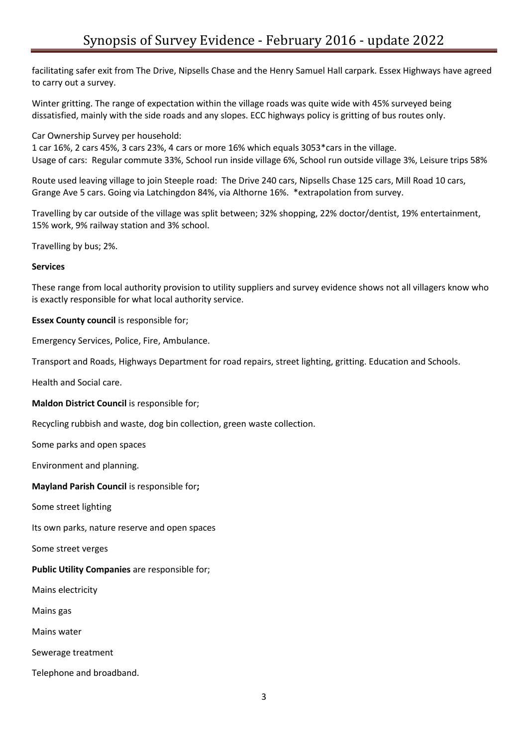facilitating safer exit from The Drive, Nipsells Chase and the Henry Samuel Hall carpark. Essex Highways have agreed to carry out a survey.

Winter gritting. The range of expectation within the village roads was quite wide with 45% surveyed being dissatisfied, mainly with the side roads and any slopes. ECC highways policy is gritting of bus routes only.

Car Ownership Survey per household:

1 car 16%, 2 cars 45%, 3 cars 23%, 4 cars or more 16% which equals 3053\*cars in the village. Usage of cars: Regular commute 33%, School run inside village 6%, School run outside village 3%, Leisure trips 58%

Route used leaving village to join Steeple road: The Drive 240 cars, Nipsells Chase 125 cars, Mill Road 10 cars, Grange Ave 5 cars. Going via Latchingdon 84%, via Althorne 16%. \*extrapolation from survey.

Travelling by car outside of the village was split between; 32% shopping, 22% doctor/dentist, 19% entertainment, 15% work, 9% railway station and 3% school.

Travelling by bus; 2%.

#### **Services**

These range from local authority provision to utility suppliers and survey evidence shows not all villagers know who is exactly responsible for what local authority service.

**Essex County council** is responsible for;

Emergency Services, Police, Fire, Ambulance.

Transport and Roads, Highways Department for road repairs, street lighting, gritting. Education and Schools.

Health and Social care.

**Maldon District Council** is responsible for;

Recycling rubbish and waste, dog bin collection, green waste collection.

Some parks and open spaces

Environment and planning.

**Mayland Parish Council** is responsible for**;**

Some street lighting

Its own parks, nature reserve and open spaces

Some street verges

**Public Utility Companies** are responsible for;

Mains electricity

Mains gas

Mains water

Sewerage treatment

Telephone and broadband.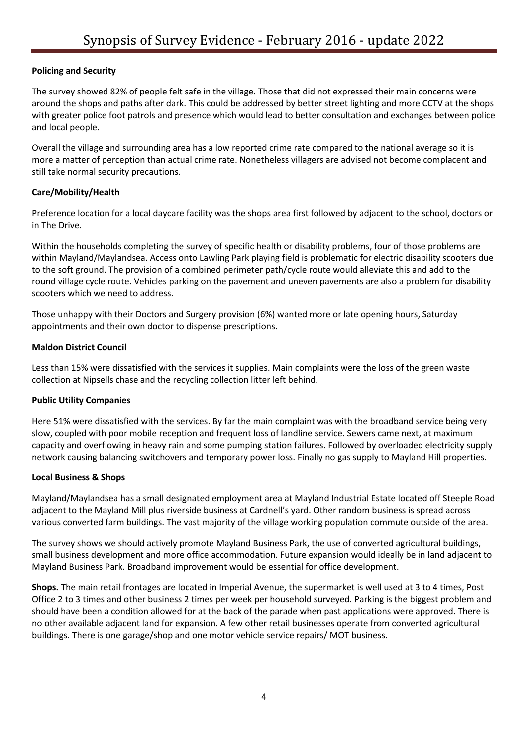# **Policing and Security**

The survey showed 82% of people felt safe in the village. Those that did not expressed their main concerns were around the shops and paths after dark. This could be addressed by better street lighting and more CCTV at the shops with greater police foot patrols and presence which would lead to better consultation and exchanges between police and local people.

Overall the village and surrounding area has a low reported crime rate compared to the national average so it is more a matter of perception than actual crime rate. Nonetheless villagers are advised not become complacent and still take normal security precautions.

## **Care/Mobility/Health**

Preference location for a local daycare facility was the shops area first followed by adjacent to the school, doctors or in The Drive.

Within the households completing the survey of specific health or disability problems, four of those problems are within Mayland/Maylandsea. Access onto Lawling Park playing field is problematic for electric disability scooters due to the soft ground. The provision of a combined perimeter path/cycle route would alleviate this and add to the round village cycle route. Vehicles parking on the pavement and uneven pavements are also a problem for disability scooters which we need to address.

Those unhappy with their Doctors and Surgery provision (6%) wanted more or late opening hours, Saturday appointments and their own doctor to dispense prescriptions.

## **Maldon District Council**

Less than 15% were dissatisfied with the services it supplies. Main complaints were the loss of the green waste collection at Nipsells chase and the recycling collection litter left behind.

## **Public Utility Companies**

Here 51% were dissatisfied with the services. By far the main complaint was with the broadband service being very slow, coupled with poor mobile reception and frequent loss of landline service. Sewers came next, at maximum capacity and overflowing in heavy rain and some pumping station failures. Followed by overloaded electricity supply network causing balancing switchovers and temporary power loss. Finally no gas supply to Mayland Hill properties.

## **Local Business & Shops**

Mayland/Maylandsea has a small designated employment area at Mayland Industrial Estate located off Steeple Road adjacent to the Mayland Mill plus riverside business at Cardnell's yard. Other random business is spread across various converted farm buildings. The vast majority of the village working population commute outside of the area.

The survey shows we should actively promote Mayland Business Park, the use of converted agricultural buildings, small business development and more office accommodation. Future expansion would ideally be in land adjacent to Mayland Business Park. Broadband improvement would be essential for office development.

**Shops.** The main retail frontages are located in Imperial Avenue, the supermarket is well used at 3 to 4 times, Post Office 2 to 3 times and other business 2 times per week per household surveyed. Parking is the biggest problem and should have been a condition allowed for at the back of the parade when past applications were approved. There is no other available adjacent land for expansion. A few other retail businesses operate from converted agricultural buildings. There is one garage/shop and one motor vehicle service repairs/ MOT business.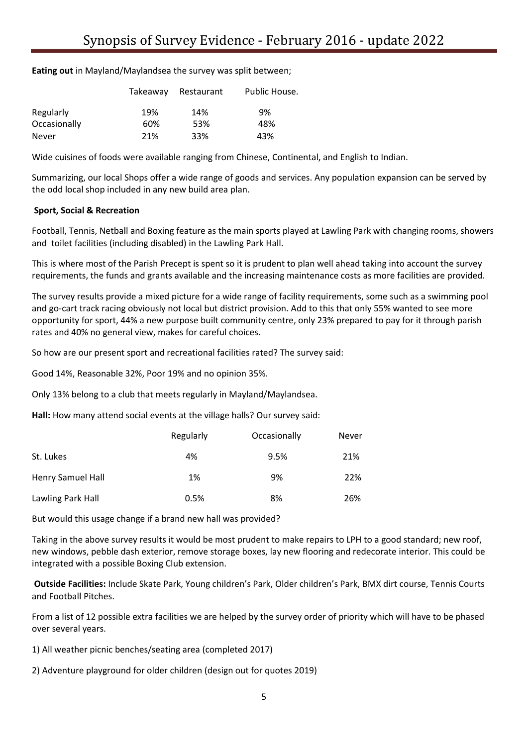**Eating out** in Mayland/Maylandsea the survey was split between;

|              | Takeaway | Restaurant | Public House. |
|--------------|----------|------------|---------------|
| Regularly    | 19%      | 14%        | 9%            |
| Occasionally | 60%      | 53%        | 48%           |
| <b>Never</b> | 21%      | 33%        | 43%           |

Wide cuisines of foods were available ranging from Chinese, Continental, and English to Indian.

Summarizing, our local Shops offer a wide range of goods and services. Any population expansion can be served by the odd local shop included in any new build area plan.

#### **Sport, Social & Recreation**

Football, Tennis, Netball and Boxing feature as the main sports played at Lawling Park with changing rooms, showers and toilet facilities (including disabled) in the Lawling Park Hall.

This is where most of the Parish Precept is spent so it is prudent to plan well ahead taking into account the survey requirements, the funds and grants available and the increasing maintenance costs as more facilities are provided.

The survey results provide a mixed picture for a wide range of facility requirements, some such as a swimming pool and go-cart track racing obviously not local but district provision. Add to this that only 55% wanted to see more opportunity for sport, 44% a new purpose built community centre, only 23% prepared to pay for it through parish rates and 40% no general view, makes for careful choices.

So how are our present sport and recreational facilities rated? The survey said:

Good 14%, Reasonable 32%, Poor 19% and no opinion 35%.

Only 13% belong to a club that meets regularly in Mayland/Maylandsea.

**Hall:** How many attend social events at the village halls? Our survey said:

|                          | Regularly | Occasionally | Never |
|--------------------------|-----------|--------------|-------|
| St. Lukes                | 4%        | 9.5%         | 21%   |
| <b>Henry Samuel Hall</b> | 1%        | 9%           | 22%   |
| Lawling Park Hall        | 0.5%      | 8%           | 26%   |

But would this usage change if a brand new hall was provided?

Taking in the above survey results it would be most prudent to make repairs to LPH to a good standard; new roof, new windows, pebble dash exterior, remove storage boxes, lay new flooring and redecorate interior. This could be integrated with a possible Boxing Club extension.

**Outside Facilities:** Include Skate Park, Young children's Park, Older children's Park, BMX dirt course, Tennis Courts and Football Pitches.

From a list of 12 possible extra facilities we are helped by the survey order of priority which will have to be phased over several years.

1) All weather picnic benches/seating area (completed 2017)

2) Adventure playground for older children (design out for quotes 2019)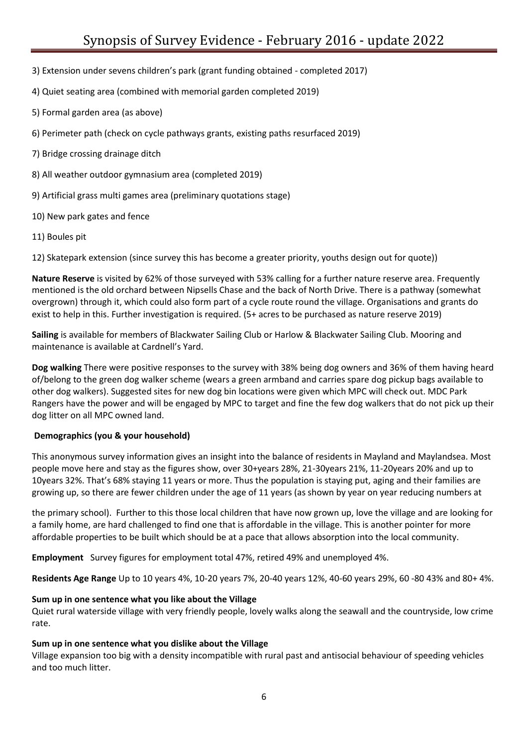3) Extension under sevens children's park (grant funding obtained - completed 2017)

4) Quiet seating area (combined with memorial garden completed 2019)

- 5) Formal garden area (as above)
- 6) Perimeter path (check on cycle pathways grants, existing paths resurfaced 2019)
- 7) Bridge crossing drainage ditch
- 8) All weather outdoor gymnasium area (completed 2019)
- 9) Artificial grass multi games area (preliminary quotations stage)
- 10) New park gates and fence
- 11) Boules pit

12) Skatepark extension (since survey this has become a greater priority, youths design out for quote))

**Nature Reserve** is visited by 62% of those surveyed with 53% calling for a further nature reserve area. Frequently mentioned is the old orchard between Nipsells Chase and the back of North Drive. There is a pathway (somewhat overgrown) through it, which could also form part of a cycle route round the village. Organisations and grants do exist to help in this. Further investigation is required. (5+ acres to be purchased as nature reserve 2019)

**Sailing** is available for members of Blackwater Sailing Club or Harlow & Blackwater Sailing Club. Mooring and maintenance is available at Cardnell's Yard.

**Dog walking** There were positive responses to the survey with 38% being dog owners and 36% of them having heard of/belong to the green dog walker scheme (wears a green armband and carries spare dog pickup bags available to other dog walkers). Suggested sites for new dog bin locations were given which MPC will check out. MDC Park Rangers have the power and will be engaged by MPC to target and fine the few dog walkers that do not pick up their dog litter on all MPC owned land.

## **Demographics (you & your household)**

This anonymous survey information gives an insight into the balance of residents in Mayland and Maylandsea. Most people move here and stay as the figures show, over 30+years 28%, 21-30years 21%, 11-20years 20% and up to 10years 32%. That's 68% staying 11 years or more. Thus the population is staying put, aging and their families are growing up, so there are fewer children under the age of 11 years (as shown by year on year reducing numbers at

the primary school). Further to this those local children that have now grown up, love the village and are looking for a family home, are hard challenged to find one that is affordable in the village. This is another pointer for more affordable properties to be built which should be at a pace that allows absorption into the local community.

**Employment** Survey figures for employment total 47%, retired 49% and unemployed 4%.

**Residents Age Range** Up to 10 years 4%, 10-20 years 7%, 20-40 years 12%, 40-60 years 29%, 60 -80 43% and 80+ 4%.

## **Sum up in one sentence what you like about the Village**

Quiet rural waterside village with very friendly people, lovely walks along the seawall and the countryside, low crime rate.

## **Sum up in one sentence what you dislike about the Village**

Village expansion too big with a density incompatible with rural past and antisocial behaviour of speeding vehicles and too much litter.